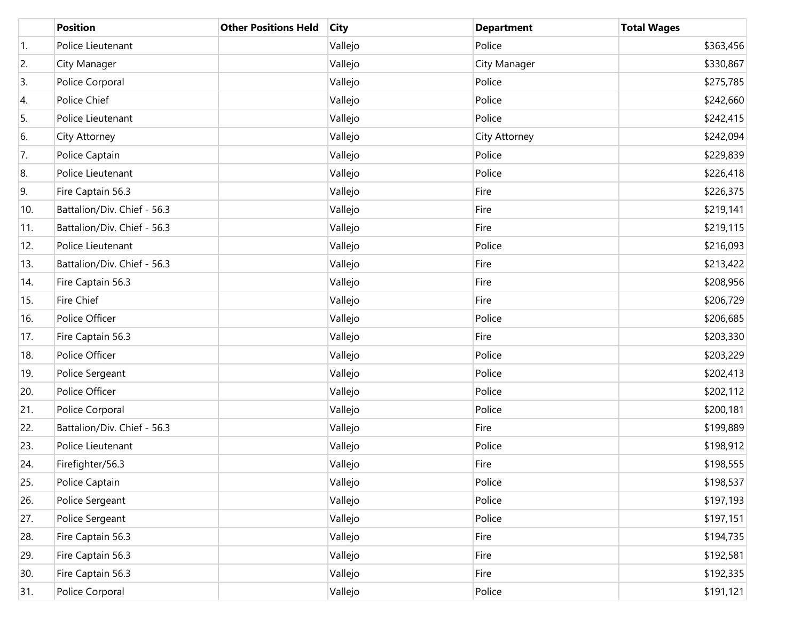|     | <b>Position</b>             | <b>Other Positions Held</b> | <b>City</b> | <b>Department</b> | <b>Total Wages</b> |
|-----|-----------------------------|-----------------------------|-------------|-------------------|--------------------|
| 1.  | Police Lieutenant           |                             | Vallejo     | Police            | \$363,456          |
| 2.  | City Manager                |                             | Vallejo     | City Manager      | \$330,867          |
| 3.  | Police Corporal             |                             | Vallejo     | Police            | \$275,785          |
| 4.  | Police Chief                |                             | Vallejo     | Police            | \$242,660          |
| 5.  | Police Lieutenant           |                             | Vallejo     | Police            | \$242,415          |
| 6.  | City Attorney               |                             | Vallejo     | City Attorney     | \$242,094          |
| 7.  | Police Captain              |                             | Vallejo     | Police            | \$229,839          |
| 8.  | Police Lieutenant           |                             | Vallejo     | Police            | \$226,418          |
| 9.  | Fire Captain 56.3           |                             | Vallejo     | Fire              | \$226,375          |
| 10. | Battalion/Div. Chief - 56.3 |                             | Vallejo     | Fire              | \$219,141          |
| 11. | Battalion/Div. Chief - 56.3 |                             | Vallejo     | Fire              | \$219,115          |
| 12. | Police Lieutenant           |                             | Vallejo     | Police            | \$216,093          |
| 13. | Battalion/Div. Chief - 56.3 |                             | Vallejo     | Fire              | \$213,422          |
| 14. | Fire Captain 56.3           |                             | Vallejo     | Fire              | \$208,956          |
| 15. | Fire Chief                  |                             | Vallejo     | Fire              | \$206,729          |
| 16. | Police Officer              |                             | Vallejo     | Police            | \$206,685          |
| 17. | Fire Captain 56.3           |                             | Vallejo     | Fire              | \$203,330          |
| 18. | Police Officer              |                             | Vallejo     | Police            | \$203,229          |
| 19. | Police Sergeant             |                             | Vallejo     | Police            | \$202,413          |
| 20. | Police Officer              |                             | Vallejo     | Police            | \$202,112          |
| 21. | Police Corporal             |                             | Vallejo     | Police            | \$200,181          |
| 22. | Battalion/Div. Chief - 56.3 |                             | Vallejo     | Fire              | \$199,889          |
| 23. | Police Lieutenant           |                             | Vallejo     | Police            | \$198,912          |
| 24. | Firefighter/56.3            |                             | Vallejo     | Fire              | \$198,555          |
| 25. | Police Captain              |                             | Vallejo     | Police            | \$198,537          |
| 26. | Police Sergeant             |                             | Vallejo     | Police            | \$197,193          |
| 27. | Police Sergeant             |                             | Vallejo     | Police            | \$197,151          |
| 28. | Fire Captain 56.3           |                             | Vallejo     | Fire              | \$194,735          |
| 29. | Fire Captain 56.3           |                             | Vallejo     | Fire              | \$192,581          |
| 30. | Fire Captain 56.3           |                             | Vallejo     | Fire              | \$192,335          |
| 31. | Police Corporal             |                             | Vallejo     | Police            | \$191,121          |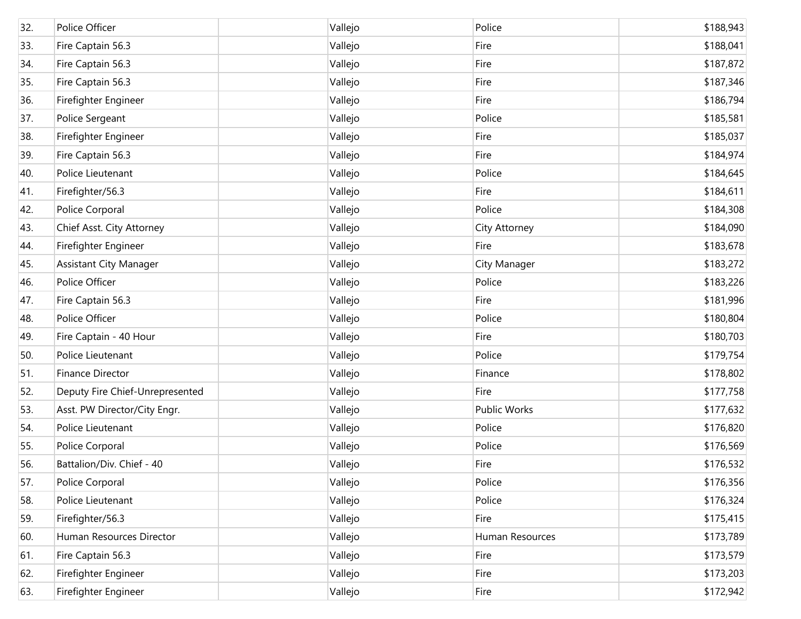| 32. | Police Officer                  | Vallejo | Police          | \$188,943 |
|-----|---------------------------------|---------|-----------------|-----------|
| 33. | Fire Captain 56.3               | Vallejo | Fire            | \$188,041 |
| 34. | Fire Captain 56.3               | Vallejo | Fire            | \$187,872 |
| 35. | Fire Captain 56.3               | Vallejo | Fire            | \$187,346 |
| 36. | Firefighter Engineer            | Vallejo | Fire            | \$186,794 |
| 37. | Police Sergeant                 | Vallejo | Police          | \$185,581 |
| 38. | Firefighter Engineer            | Vallejo | Fire            | \$185,037 |
| 39. | Fire Captain 56.3               | Vallejo | Fire            | \$184,974 |
| 40. | Police Lieutenant               | Vallejo | Police          | \$184,645 |
| 41. | Firefighter/56.3                | Vallejo | Fire            | \$184,611 |
| 42. | Police Corporal                 | Vallejo | Police          | \$184,308 |
| 43. | Chief Asst. City Attorney       | Vallejo | City Attorney   | \$184,090 |
| 44. | Firefighter Engineer            | Vallejo | Fire            | \$183,678 |
| 45. | <b>Assistant City Manager</b>   | Vallejo | City Manager    | \$183,272 |
| 46. | Police Officer                  | Vallejo | Police          | \$183,226 |
| 47. | Fire Captain 56.3               | Vallejo | Fire            | \$181,996 |
| 48. | Police Officer                  | Vallejo | Police          | \$180,804 |
| 49. | Fire Captain - 40 Hour          | Vallejo | Fire            | \$180,703 |
| 50. | Police Lieutenant               | Vallejo | Police          | \$179,754 |
| 51. | Finance Director                | Vallejo | Finance         | \$178,802 |
| 52. | Deputy Fire Chief-Unrepresented | Vallejo | Fire            | \$177,758 |
| 53. | Asst. PW Director/City Engr.    | Vallejo | Public Works    | \$177,632 |
| 54. | Police Lieutenant               | Vallejo | Police          | \$176,820 |
| 55. | Police Corporal                 | Vallejo | Police          | \$176,569 |
| 56. | Battalion/Div. Chief - 40       | Vallejo | Fire            | \$176,532 |
| 57. | Police Corporal                 | Vallejo | Police          | \$176,356 |
| 58. | Police Lieutenant               | Vallejo | Police          | \$176,324 |
| 59. | Firefighter/56.3                | Vallejo | Fire            | \$175,415 |
| 60. | Human Resources Director        | Vallejo | Human Resources | \$173,789 |
| 61. | Fire Captain 56.3               | Vallejo | Fire            | \$173,579 |
| 62. | Firefighter Engineer            | Vallejo | Fire            | \$173,203 |
| 63. | Firefighter Engineer            | Vallejo | Fire            | \$172,942 |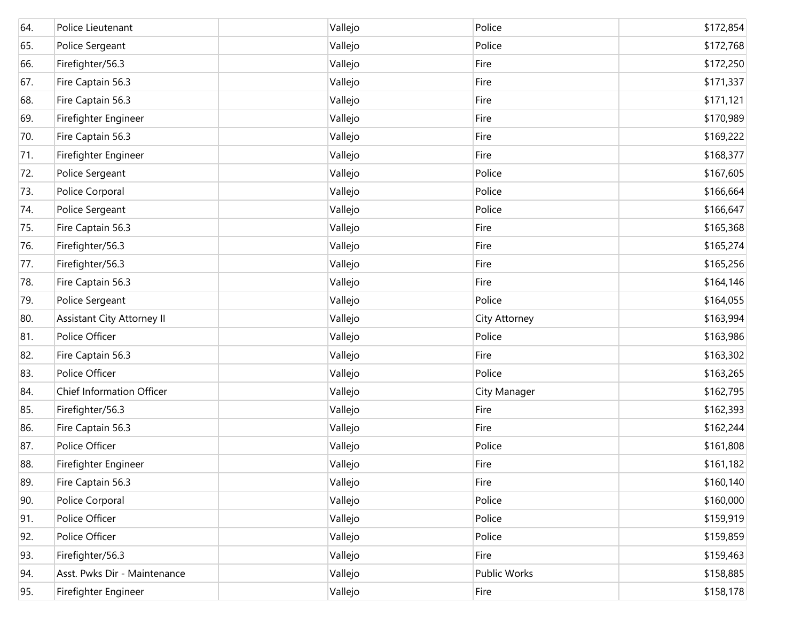| 64. | Police Lieutenant                 | Vallejo | Police        | \$172,854  |
|-----|-----------------------------------|---------|---------------|------------|
| 65. | Police Sergeant                   | Vallejo | Police        | \$172,768  |
| 66. | Firefighter/56.3                  | Vallejo | Fire          | \$172,250  |
| 67. | Fire Captain 56.3                 | Vallejo | Fire          | \$171,337  |
| 68. | Fire Captain 56.3                 | Vallejo | Fire          | \$171,121  |
| 69. | Firefighter Engineer              | Vallejo | Fire          | \$170,989  |
| 70. | Fire Captain 56.3                 | Vallejo | Fire          | \$169,222  |
| 71. | Firefighter Engineer              | Vallejo | Fire          | \$168,377  |
| 72. | Police Sergeant                   | Vallejo | Police        | \$167,605  |
| 73. | Police Corporal                   | Vallejo | Police        | \$166,664  |
| 74. | Police Sergeant                   | Vallejo | Police        | \$166,647  |
| 75. | Fire Captain 56.3                 | Vallejo | Fire          | \$165,368  |
| 76. | Firefighter/56.3                  | Vallejo | Fire          | \$165,274  |
| 77. | Firefighter/56.3                  | Vallejo | Fire          | \$165,256  |
| 78. | Fire Captain 56.3                 | Vallejo | Fire          | \$164, 146 |
| 79. | Police Sergeant                   | Vallejo | Police        | \$164,055  |
| 80. | <b>Assistant City Attorney II</b> | Vallejo | City Attorney | \$163,994  |
| 81. | Police Officer                    | Vallejo | Police        | \$163,986  |
| 82. | Fire Captain 56.3                 | Vallejo | Fire          | \$163,302  |
| 83. | Police Officer                    | Vallejo | Police        | \$163,265  |
| 84. | Chief Information Officer         | Vallejo | City Manager  | \$162,795  |
| 85. | Firefighter/56.3                  | Vallejo | Fire          | \$162,393  |
| 86. | Fire Captain 56.3                 | Vallejo | Fire          | \$162,244  |
| 87. | Police Officer                    | Vallejo | Police        | \$161,808  |
| 88. | Firefighter Engineer              | Vallejo | Fire          | \$161,182  |
| 89. | Fire Captain 56.3                 | Vallejo | Fire          | \$160, 140 |
| 90. | Police Corporal                   | Vallejo | Police        | \$160,000  |
| 91. | Police Officer                    | Vallejo | Police        | \$159,919  |
| 92. | Police Officer                    | Vallejo | Police        | \$159,859  |
| 93. | Firefighter/56.3                  | Vallejo | Fire          | \$159,463  |
| 94. | Asst. Pwks Dir - Maintenance      | Vallejo | Public Works  | \$158,885  |
| 95. | Firefighter Engineer              | Vallejo | Fire          | \$158,178  |